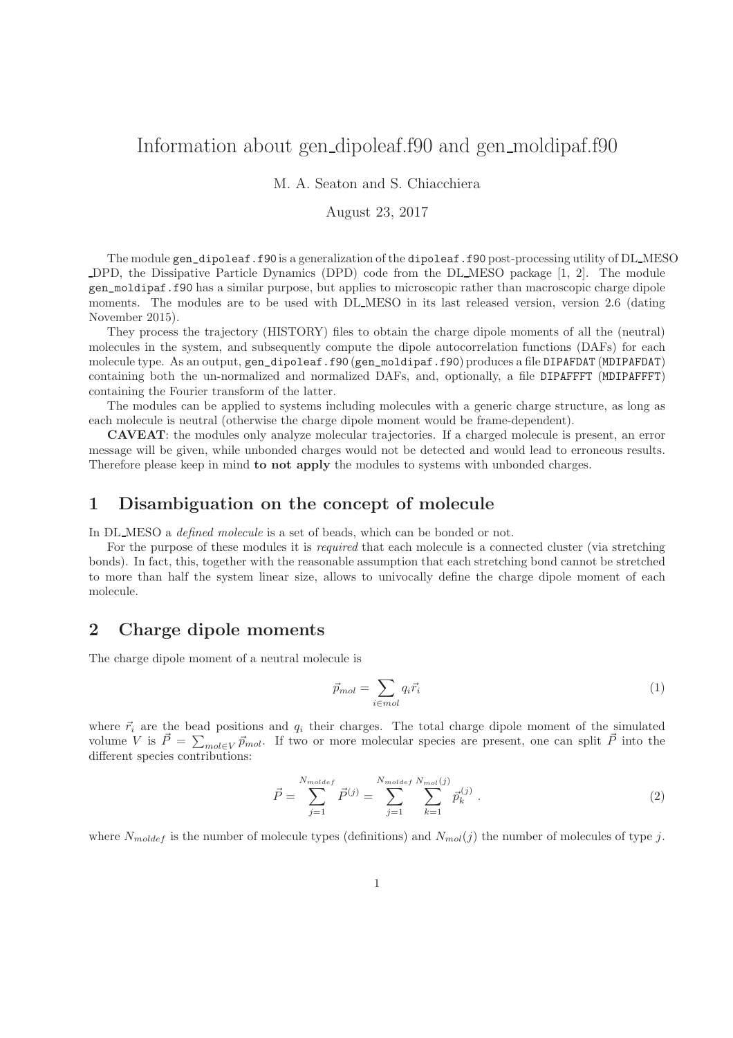# Information about gen dipoleaf.f90 and gen moldipaf.f90

M. A. Seaton and S. Chiacchiera

#### August 23, 2017

The module gen\_dipoleaf.f90 is a generalization of the dipoleaf.f90 post-processing utility of DL MESO DPD, the Dissipative Particle Dynamics (DPD) code from the DL MESO package [1, 2]. The module gen\_moldipaf.f90 has a similar purpose, but applies to microscopic rather than macroscopic charge dipole moments. The modules are to be used with DL\_MESO in its last released version, version 2.6 (dating November 2015).

They process the trajectory (HISTORY) files to obtain the charge dipole moments of all the (neutral) molecules in the system, and subsequently compute the dipole autocorrelation functions (DAFs) for each molecule type. As an output, gen\_dipoleaf.f90 (gen\_moldipaf.f90) produces a file DIPAFDAT (MDIPAFDAT) containing both the un-normalized and normalized DAFs, and, optionally, a file DIPAFFFT (MDIPAFFFT) containing the Fourier transform of the latter.

The modules can be applied to systems including molecules with a generic charge structure, as long as each molecule is neutral (otherwise the charge dipole moment would be frame-dependent).

CAVEAT: the modules only analyze molecular trajectories. If a charged molecule is present, an error message will be given, while unbonded charges would not be detected and would lead to erroneous results. Therefore please keep in mind to not apply the modules to systems with unbonded charges.

#### 1 Disambiguation on the concept of molecule

In DL\_MESO a *defined molecule* is a set of beads, which can be bonded or not.

For the purpose of these modules it is *required* that each molecule is a connected cluster (via stretching bonds). In fact, this, together with the reasonable assumption that each stretching bond cannot be stretched to more than half the system linear size, allows to univocally define the charge dipole moment of each molecule.

# 2 Charge dipole moments

The charge dipole moment of a neutral molecule is

$$
\vec{p}_{mol} = \sum_{i \in mol} q_i \vec{r}_i \tag{1}
$$

where  $\vec{r}_i$  are the bead positions and  $q_i$  their charges. The total charge dipole moment of the simulated volume V is  $\vec{P} = \sum_{mol \in V} \vec{p}_{mol}$ . If two or more molecular species are present, one can split  $\vec{P}$  into the different species contributions:

$$
\vec{P} = \sum_{j=1}^{N_{molder}} \vec{P}^{(j)} = \sum_{j=1}^{N_{molder}} \sum_{k=1}^{N_{mol}(j)} \vec{p}_k^{(j)} . \tag{2}
$$

where  $N_{model}$  is the number of molecule types (definitions) and  $N_{mol}(j)$  the number of molecules of type j.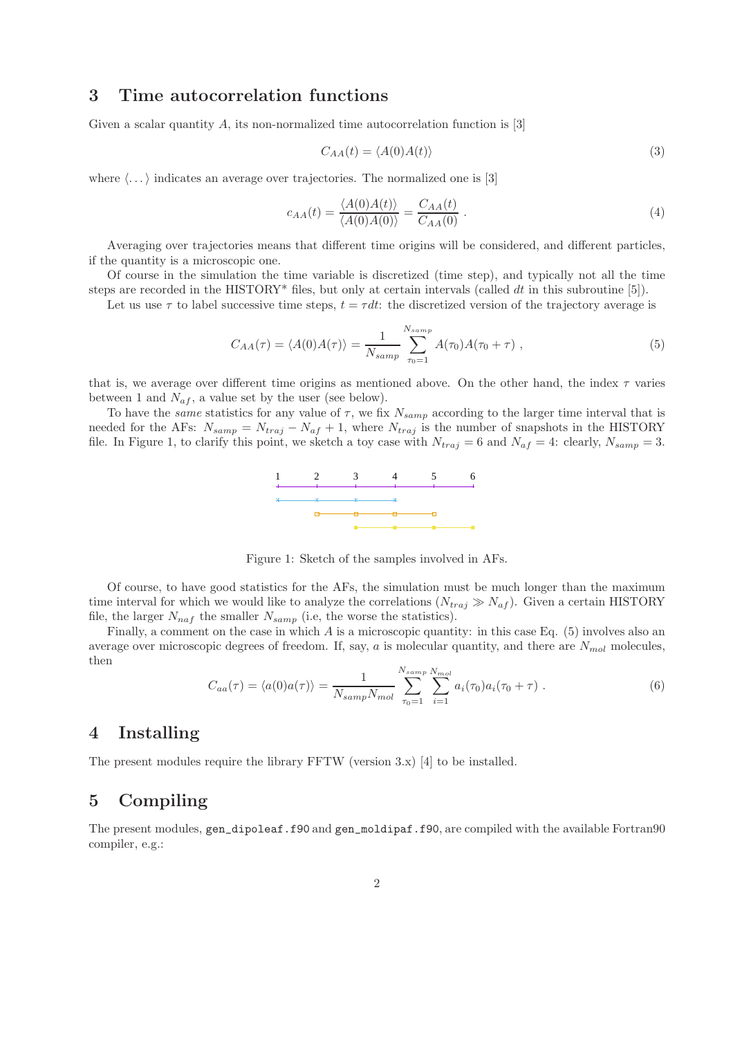### 3 Time autocorrelation functions

Given a scalar quantity  $A$ , its non-normalized time autocorrelation function is [3]

$$
C_{AA}(t) = \langle A(0)A(t) \rangle \tag{3}
$$

where  $\langle \dots \rangle$  indicates an average over trajectories. The normalized one is [3]

$$
c_{AA}(t) = \frac{\langle A(0)A(t) \rangle}{\langle A(0)A(0) \rangle} = \frac{C_{AA}(t)}{C_{AA}(0)}.
$$
\n(4)

Averaging over trajectories means that different time origins will be considered, and different particles, if the quantity is a microscopic one.

Of course in the simulation the time variable is discretized (time step), and typically not all the time steps are recorded in the HISTORY\* files, but only at certain intervals (called  $dt$  in this subroutine [5]).

Let us use  $\tau$  to label successive time steps,  $t = \tau dt$ : the discretized version of the trajectory average is

$$
C_{AA}(\tau) = \langle A(0)A(\tau) \rangle = \frac{1}{N_{samp}} \sum_{\tau_0=1}^{N_{samp}} A(\tau_0)A(\tau_0 + \tau) , \qquad (5)
$$

that is, we average over different time origins as mentioned above. On the other hand, the index  $\tau$  varies between 1 and  $N_{af}$ , a value set by the user (see below).

To have the same statistics for any value of  $\tau$ , we fix  $N_{\text{samp}}$  according to the larger time interval that is needed for the AFs:  $N_{\text{samp}} = N_{\text{traj}} - N_{\text{af}} + 1$ , where  $N_{\text{traj}}$  is the number of snapshots in the HISTORY file. In Figure 1, to clarify this point, we sketch a toy case with  $N_{traj} = 6$  and  $N_{af} = 4$ : clearly,  $N_{samp} = 3$ .



Figure 1: Sketch of the samples involved in AFs.

Of course, to have good statistics for the AFs, the simulation must be much longer than the maximum time interval for which we would like to analyze the correlations  $(N_{traj} \gg N_{af})$ . Given a certain HISTORY file, the larger  $N_{naf}$  the smaller  $N_{samp}$  (i.e, the worse the statistics).

Finally, a comment on the case in which A is a microscopic quantity: in this case Eq.  $(5)$  involves also an average over microscopic degrees of freedom. If, say, a is molecular quantity, and there are  $N_{mol}$  molecules, then

$$
C_{aa}(\tau) = \langle a(0)a(\tau) \rangle = \frac{1}{N_{samp}N_{mol}} \sum_{\tau_0=1}^{N_{samp}N_{mol}} \sum_{i=1}^{N_{mol}} a_i(\tau_0) a_i(\tau_0 + \tau) . \tag{6}
$$

### 4 Installing

The present modules require the library FFTW (version 3.x) [4] to be installed.

# 5 Compiling

The present modules,  $gen\_dipoleaf.f90$  and  $gen\_moldipaf.f90$ , are compiled with the available Fortran90 compiler, e.g.: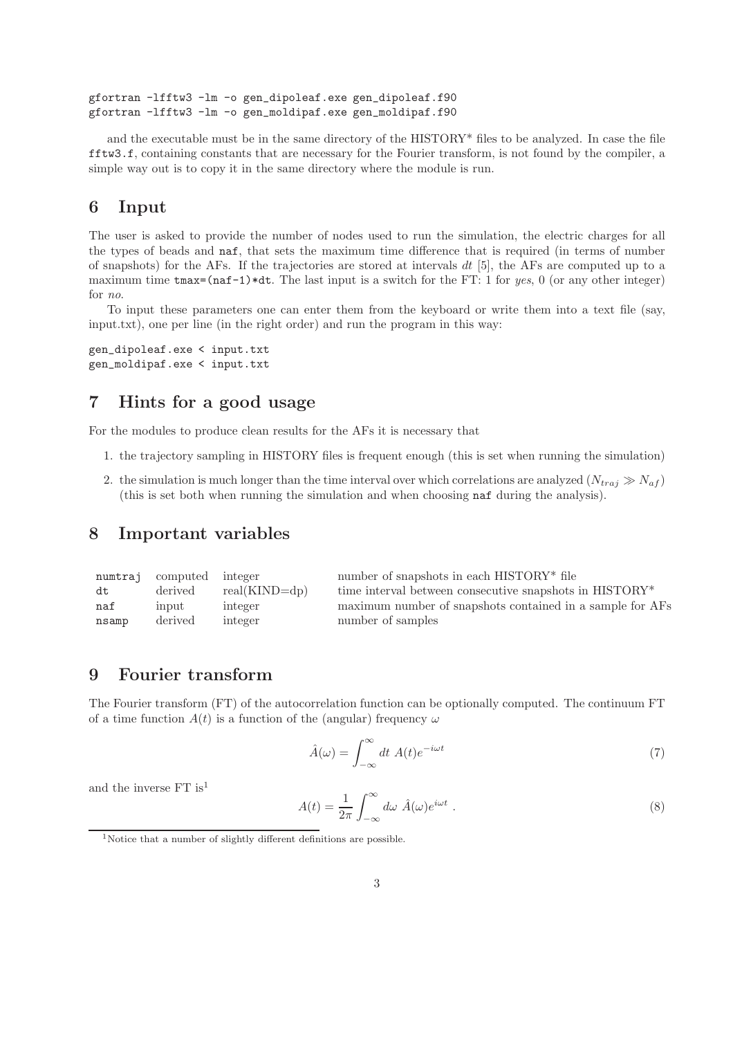```
gfortran -lfftw3 -lm -o gen_dipoleaf.exe gen_dipoleaf.f90
gfortran -lfftw3 -lm -o gen_moldipaf.exe gen_moldipaf.f90
```
and the executable must be in the same directory of the HISTORY\* files to be analyzed. In case the file fftw3.f, containing constants that are necessary for the Fourier transform, is not found by the compiler, a simple way out is to copy it in the same directory where the module is run.

### 6 Input

The user is asked to provide the number of nodes used to run the simulation, the electric charges for all the types of beads and naf, that sets the maximum time difference that is required (in terms of number of snapshots) for the AFs. If the trajectories are stored at intervals  $dt$  [5], the AFs are computed up to a maximum time  $\text{tmax}=(\text{na}f-1)*dt$ . The last input is a switch for the FT: 1 for yes, 0 (or any other integer) for no.

To input these parameters one can enter them from the keyboard or write them into a text file (say, input.txt), one per line (in the right order) and run the program in this way:

```
gen_dipoleaf.exe < input.txt
gen_moldipaf.exe < input.txt
```
## 7 Hints for a good usage

For the modules to produce clean results for the AFs it is necessary that

- 1. the trajectory sampling in HISTORY files is frequent enough (this is set when running the simulation)
- 2. the simulation is much longer than the time interval over which correlations are analyzed  $(N_{traj} \gg N_{af})$ (this is set both when running the simulation and when choosing naf during the analysis).

### 8 Important variables

|       | numtraj computed integer |                 | number of snapshots in each HISTORY <sup>*</sup> file     |
|-------|--------------------------|-----------------|-----------------------------------------------------------|
| dt    | derived                  | $real(KIND=dp)$ | time interval between consecutive snapshots in HISTORY*   |
| naf   | input                    | integer         | maximum number of snapshots contained in a sample for AFs |
| nsamp | derived                  | integer         | number of samples                                         |
|       |                          |                 |                                                           |

# 9 Fourier transform

The Fourier transform (FT) of the autocorrelation function can be optionally computed. The continuum FT of a time function  $A(t)$  is a function of the (angular) frequency  $\omega$ 

$$
\hat{A}(\omega) = \int_{-\infty}^{\infty} dt \; A(t)e^{-i\omega t} \tag{7}
$$

and the inverse FT  $\rm is^1$ 

$$
A(t) = \frac{1}{2\pi} \int_{-\infty}^{\infty} d\omega \, \hat{A}(\omega) e^{i\omega t} \; . \tag{8}
$$

<sup>&</sup>lt;sup>1</sup>Notice that a number of slightly different definitions are possible.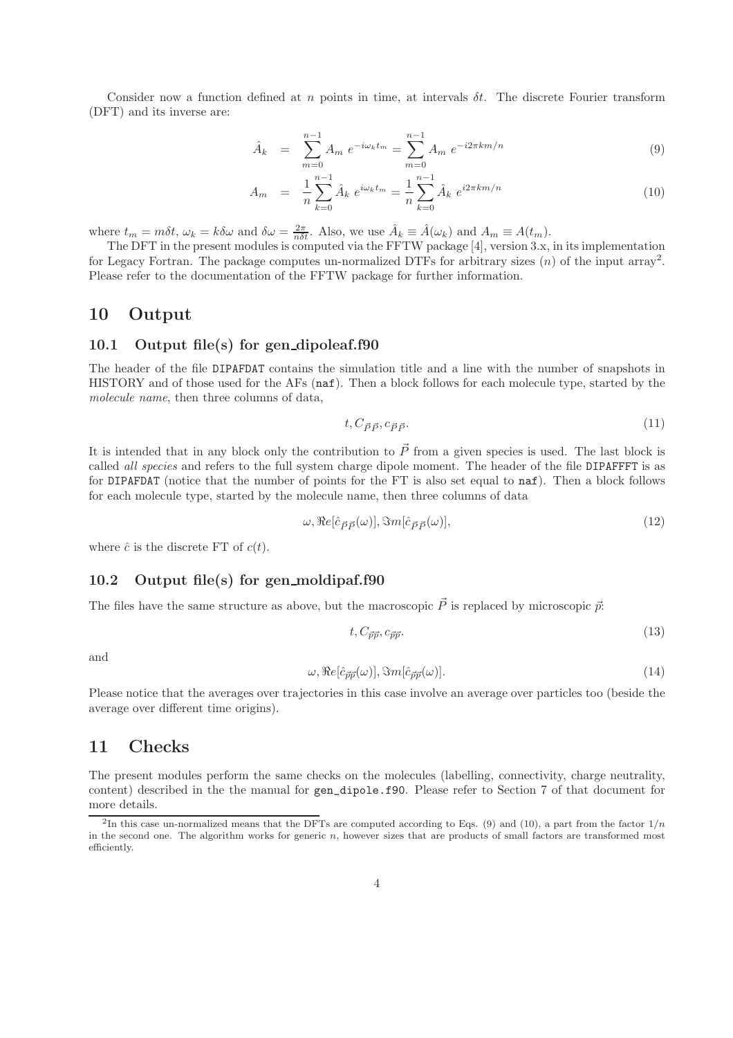Consider now a function defined at n points in time, at intervals  $\delta t$ . The discrete Fourier transform (DFT) and its inverse are:

$$
\hat{A}_k = \sum_{m=0}^{n-1} A_m e^{-i\omega_k t_m} = \sum_{m=0}^{n-1} A_m e^{-i2\pi k m/n}
$$
\n(9)

$$
A_m = \frac{1}{n} \sum_{k=0}^{n-1} \hat{A}_k e^{i\omega_k t_m} = \frac{1}{n} \sum_{k=0}^{n-1} \hat{A}_k e^{i2\pi k m/n}
$$
 (10)

where  $t_m = m\delta t$ ,  $\omega_k = k\delta\omega$  and  $\delta\omega = \frac{2\pi}{n\delta t}$ . Also, we use  $\hat{A}_k \equiv \hat{A}(\omega_k)$  and  $A_m \equiv A(t_m)$ .

The DFT in the present modules is computed via the FFTW package [4], version 3.x, in its implementation for Legacy Fortran. The package computes un-normalized DTFs for arbitrary sizes  $(n)$  of the input array<sup>2</sup>. Please refer to the documentation of the FFTW package for further information.

#### 10 Output

#### 10.1 Output file(s) for gen dipoleaf.f90

The header of the file DIPAFDAT contains the simulation title and a line with the number of snapshots in HISTORY and of those used for the AFs (naf). Then a block follows for each molecule type, started by the molecule name, then three columns of data,

$$
t, C_{\vec{P}\vec{P}}, c_{\vec{P}\vec{P}}.\tag{11}
$$

It is intended that in any block only the contribution to  $\vec{P}$  from a given species is used. The last block is called *all species* and refers to the full system charge dipole moment. The header of the file DIPAFFFT is as for DIPAFDAT (notice that the number of points for the FT is also set equal to naf). Then a block follows for each molecule type, started by the molecule name, then three columns of data

$$
\omega, \Re e[\hat{c}_{\vec{P}\vec{P}}(\omega)], \Im m[\hat{c}_{\vec{P}\vec{P}}(\omega)], \qquad (12)
$$

where  $\hat{c}$  is the discrete FT of  $c(t)$ .

#### 10.2 Output file(s) for gen\_moldipaf.f90

The files have the same structure as above, but the macroscopic  $\vec{P}$  is replaced by microscopic  $\vec{v}$ :

$$
t, C_{\vec{p}\vec{p}}, c_{\vec{p}\vec{p}}.\tag{13}
$$

and

$$
\omega, \Re e[\hat{c}_{\vec{p}\vec{p}}(\omega)], \Im m[\hat{c}_{\vec{p}\vec{p}}(\omega)]. \tag{14}
$$

Please notice that the averages over trajectories in this case involve an average over particles too (beside the average over different time origins).

#### 11 Checks

The present modules perform the same checks on the molecules (labelling, connectivity, charge neutrality, content) described in the the manual for gen\_dipole.f90. Please refer to Section 7 of that document for more details.

<sup>&</sup>lt;sup>2</sup>In this case un-normalized means that the DFTs are computed according to Eqs. (9) and (10), a part from the factor  $1/n$ in the second one. The algorithm works for generic  $n$ , however sizes that are products of small factors are transformed most efficiently.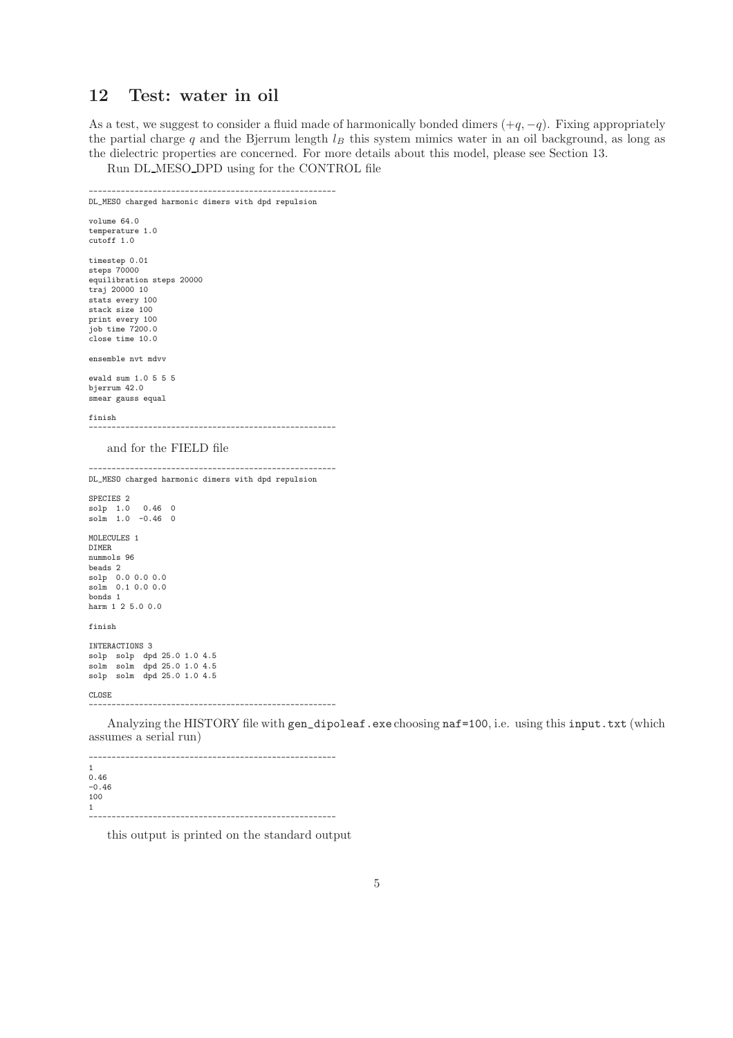# 12 Test: water in oil

As a test, we suggest to consider a fluid made of harmonically bonded dimers  $(+q, -q)$ . Fixing appropriately the partial charge q and the Bjerrum length  $l_B$  this system mimics water in an oil background, as long as the dielectric properties are concerned. For more details about this model, please see Section 13.

Run DL MESO DPD using for the CONTROL file

```
------------------------------------------------------
DL_MESO charged harmonic dimers with dpd repulsion
volume 64.0
temperature 1.0
cutoff 1.0
timestep 0.01
steps 70000
equilibration steps 20000
traj 20000 10
stats every 100
stack size 100
print every 100
job time 7200.0
close time 10.0
ensemble nvt mdvv
ewald sum 1.0 5 5 5
bjerrum 42.0
smear gauss equal
finish
            ------------------------------------------------------
    and for the FIELD file
```
------------------------------------------------------ DL\_MESO charged harmonic dimers with dpd repulsion SPECIES 2 solp 1.0 0.46 0 solm 1.0 -0.46 0 MOLECULES 1 DIMER nummols 96 beads 2 solp 0.0 0.0 0.0 solm 0.1 0.0 0.0 bonds 1 harm 1 2 5.0 0.0 finish INTERACTIONS 3 solp solp dpd 25.0 1.0 4.5 solm solm dpd 25.0 1.0 4.5 solp solm dpd 25.0 1.0 4.5 CLOSE ------------------------------------------------------

Analyzing the HISTORY file with gen\_dipoleaf.exe choosing naf=100, i.e. using this input.txt (which assumes a serial run)

 $-$ 1 0.46 -0.46 100 1 ------------------------------------------------------

this output is printed on the standard output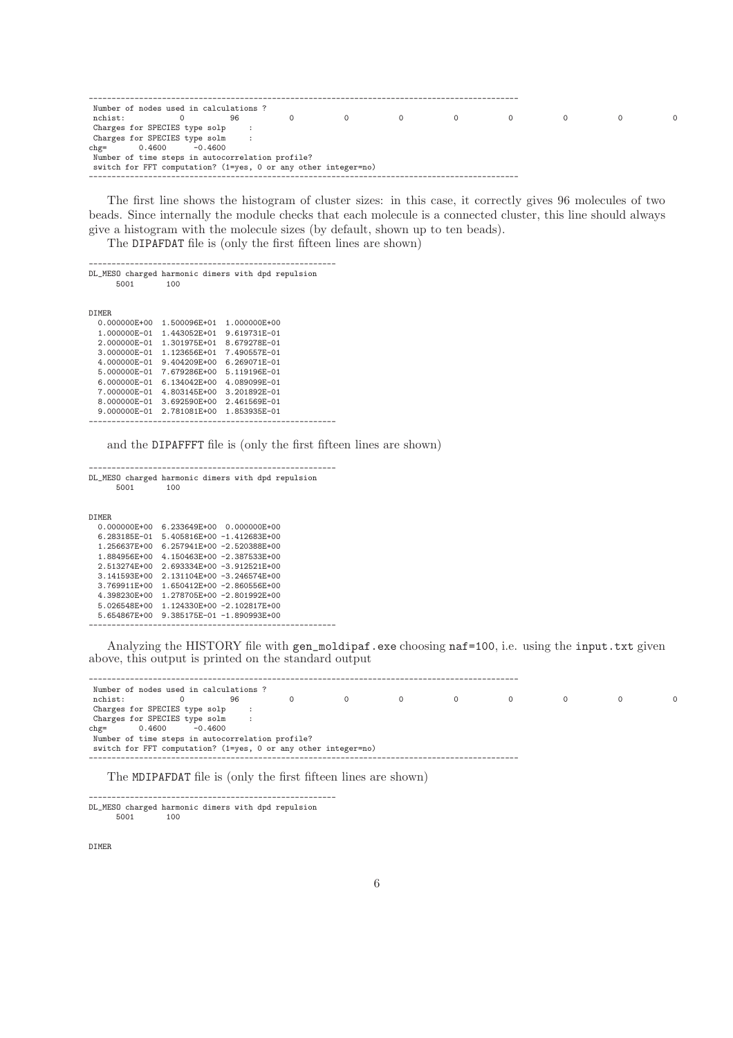|               | Number of nodes used in calculations?                          |    |  |  |  |  |
|---------------|----------------------------------------------------------------|----|--|--|--|--|
| nchist:       |                                                                | 96 |  |  |  |  |
|               | Charges for SPECIES type solp :                                |    |  |  |  |  |
|               | Charges for SPECIES type solm                                  |    |  |  |  |  |
| $ch\varrho =$ | $-0.4600$<br>0.4600                                            |    |  |  |  |  |
|               | Number of time steps in autocorrelation profile?               |    |  |  |  |  |
|               | switch for FFT computation? (1=yes, 0 or any other integer=no) |    |  |  |  |  |
|               |                                                                |    |  |  |  |  |

The first line shows the histogram of cluster sizes: in this case, it correctly gives 96 molecules of two beads. Since internally the module checks that each molecule is a connected cluster, this line should always give a histogram with the molecule sizes (by default, shown up to ten beads).

The DIPAFDAT file is (only the first fifteen lines are shown)

| 5001             | 100          | DL_MESO charged harmonic dimers with dpd repulsion |
|------------------|--------------|----------------------------------------------------|
| DIMER.           |              |                                                    |
| 0.000000E+00     | 1.500096E+01 | 1.000000E+00                                       |
| 1.000000E-01     | 1.443052E+01 | 9.619731E-01                                       |
| 2.000000E-01     | 1.301975E+01 | 8.679278E-01                                       |
| 3.000000E-01     | 1.123656E+01 | 7.490557E-01                                       |
| $4.000000E - 01$ | 9.404209E+00 | 6.269071E-01                                       |
| 5.000000E-01     | 7.679286E+00 | 5.119196E-01                                       |
| 6.000000E-01     | 6.134042E+00 | 4.089099E-01                                       |
| 7.000000E-01     | 4.803145E+00 | 3.201892E-01                                       |
| 8.000000E-01     | 3.692590E+00 | 2.461569E-01                                       |
| 9.000000E-01     | 2.781081E+00 | 1.853935E-01                                       |
|                  |              |                                                    |

and the DIPAFFFT file is (only the first fifteen lines are shown)

------------------------------------------------------ DL\_MESO charged harmonic dimers with dpd repulsion 5001 100

| DTMER.       |                                   |  |
|--------------|-----------------------------------|--|
| 0.000000F+00 | 6.233649E+00 0.000000E+00         |  |
| 6.283185E-01 | $5.405816E+00 -1.412683E+00$      |  |
| 1.256637E+00 | $6.257941E + 00 - 2.520388E + 00$ |  |
| 1.884956E+00 | 4.150463E+00 -2.387533E+00        |  |
| 2.513274F+00 | $2.693334E + 00 - 3.912521E + 00$ |  |
| 3.141593E+00 | $2.131104E + 00 - 3.246574E + 00$ |  |
| 3.769911E+00 | $1.650412E + 00 - 2.860556E + 00$ |  |
| 4.398230E+00 | 1.278705E+00 -2.801992E+00        |  |
| 5.026548E+00 | 1.124330E+00 -2.102817E+00        |  |
| 5.654867E+00 | $9.385175E - 01 - 1.890993E + 00$ |  |
|              |                                   |  |

Analyzing the HISTORY file with gen\_moldipaf.exe choosing naf=100, i.e. using the input.txt given above, this output is printed on the standard output

---------------------------------------------------------------------------------------------- Number of nodes used in calculations ? nchist: 0 96 0 0 0 0 0 0 0 0 Charges for SPECIES type solp :<br>Charges for SPECIES type solm : Charges for SPECIES type solm : chg= 0.4600 -0.4600 Number of time steps in autocorrelation profile? switch for FFT computation? (1=yes, 0 or any other integer=no) ----------------------------------------------------------------------------------------------

The MDIPAFDAT file is (only the first fifteen lines are shown)

------------------------------------------------------ DL\_MESO charged harmonic dimers with dpd repulsion 5001

DIMER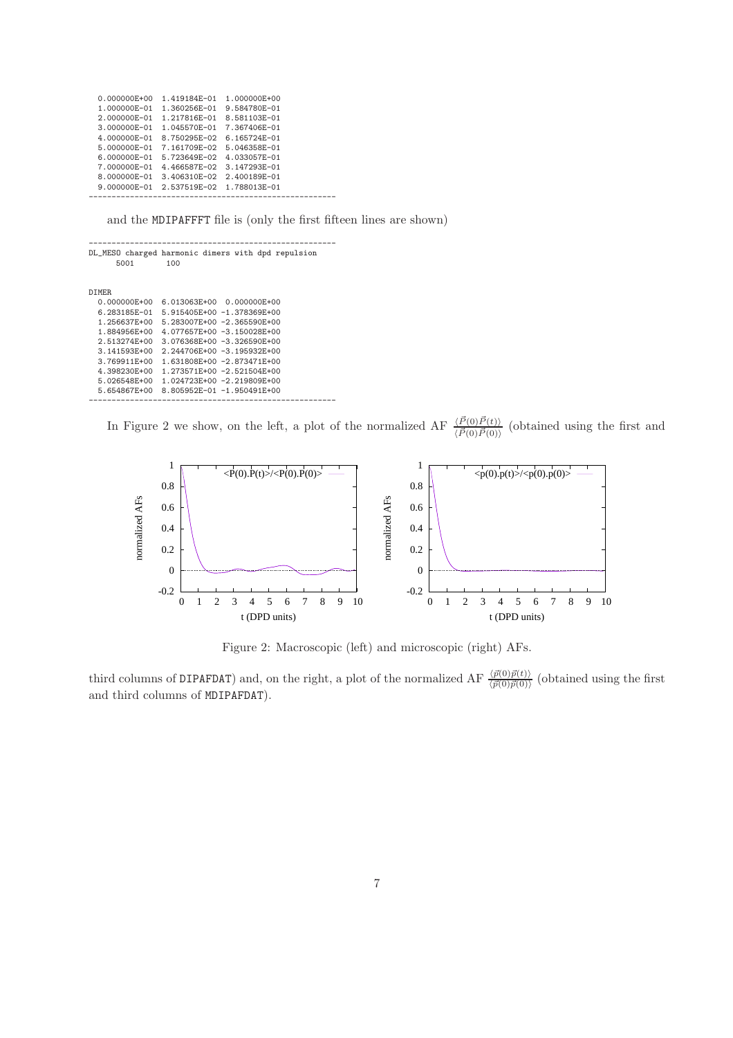| $0.000000E + 00$ | 1.419184F-01 | 1.000000E+00 |  |
|------------------|--------------|--------------|--|
| $1.000000E - 01$ | 1.360256E-01 | 9.584780E-01 |  |
| 2.000000E-01     | 1.217816E-01 | 8.581103E-01 |  |
| $3.000000E - 01$ | 1.045570E-01 | 7.367406E-01 |  |
| 4.000000E-01     | 8.750295E-02 | 6.165724E-01 |  |
| 5.000000E-01     | 7.161709E-02 | 5.046358E-01 |  |
| $6.000000E - 01$ | 5.723649E-02 | 4.033057E-01 |  |
| 7.000000E-01     | 4.466587E-02 | 3.147293E-01 |  |
| 8.000000E-01     | 3.406310E-02 | 2.400189E-01 |  |
| 9.000000E-01     | 2.537519E-02 | 1.788013E-01 |  |
|                  |              |              |  |

and the MDIPAFFFT file is (only the first fifteen lines are shown)

| 5001         | DL_MESO charged harmonic dimers with dpd repulsion<br>100 |
|--------------|-----------------------------------------------------------|
| DIMER.       |                                                           |
| 0.000000E+00 | 6.013063E+00 0.000000E+00                                 |
| 6.283185E-01 | 5.915405E+00 -1.378369E+00                                |
| 1.256637E+00 | 5.283007E+00 -2.365590E+00                                |
| 1.884956E+00 | 4.077657E+00 -3.150028E+00                                |
| 2.513274E+00 | $3.076368E + 00 - 3.326590E + 00$                         |
| 3.141593E+00 | 2.244706E+00 -3.195932E+00                                |
| 3.769911E+00 | 1.631808E+00 -2.873471E+00                                |
| 4.398230E+00 | 1.273571E+00 -2.521504E+00                                |
| 5.026548E+00 | 1.024723E+00 -2.219809E+00                                |
| 5.654867E+00 | $8.805952E - 01 - 1.950491E + 00$                         |
|              |                                                           |

In Figure 2 we show, on the left, a plot of the normalized AF  $\frac{\langle \vec{P}(0) \vec{P}(t) \rangle}{\langle \vec{P}(0) \vec{P}(0) \rangle}$  (obtained using the first and



Figure 2: Macroscopic (left) and microscopic (right) AFs.

third columns of DIPAFDAT) and, on the right, a plot of the normalized AF  $\frac{\langle \vec{p}(0) \vec{p}(t) \rangle}{\langle \vec{p}(0) \vec{p}(0) \rangle}$  (obtained using the first and third columns of MDIPAFDAT).